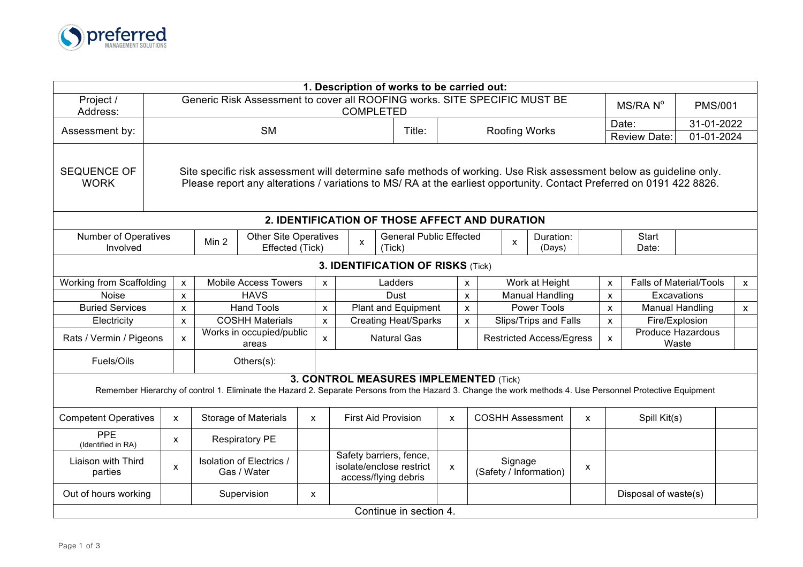

|                                                                                                                                                                                                                                                                                  |                                                                                                                                                           |                                                 |                                   |                                         |                                                                                             |                                 | 1. Description of works to be carried out:            |                        |                           |                           |                                |              |            |                       |                            |                      |                           |              |
|----------------------------------------------------------------------------------------------------------------------------------------------------------------------------------------------------------------------------------------------------------------------------------|-----------------------------------------------------------------------------------------------------------------------------------------------------------|-------------------------------------------------|-----------------------------------|-----------------------------------------|---------------------------------------------------------------------------------------------|---------------------------------|-------------------------------------------------------|------------------------|---------------------------|---------------------------|--------------------------------|--------------|------------|-----------------------|----------------------------|----------------------|---------------------------|--------------|
| Project /<br>Address:                                                                                                                                                                                                                                                            | Generic Risk Assessment to cover all ROOFING works. SITE SPECIFIC MUST BE<br><b>COMPLETED</b>                                                             |                                                 |                                   |                                         |                                                                                             |                                 |                                                       |                        |                           |                           |                                |              |            | MS/RAN <sup>°</sup>   | <b>PMS/001</b>             |                      |                           |              |
| Assessment by:                                                                                                                                                                                                                                                                   | <b>SM</b><br>Title:<br><b>Roofing Works</b>                                                                                                               |                                                 |                                   |                                         |                                                                                             |                                 |                                                       |                        |                           |                           | Date:                          |              | 31-01-2022 |                       |                            |                      |                           |              |
|                                                                                                                                                                                                                                                                                  |                                                                                                                                                           |                                                 |                                   |                                         |                                                                                             |                                 |                                                       |                        |                           |                           |                                |              |            |                       |                            | <b>Review Date:</b>  | $\overline{01-01} - 2024$ |              |
| <b>SEQUENCE OF</b><br>Site specific risk assessment will determine safe methods of working. Use Risk assessment below as guideline only.<br><b>WORK</b><br>Please report any alterations / variations to MS/ RA at the earliest opportunity. Contact Preferred on 0191 422 8826. |                                                                                                                                                           |                                                 |                                   |                                         |                                                                                             |                                 |                                                       |                        |                           |                           |                                |              |            |                       |                            |                      |                           |              |
|                                                                                                                                                                                                                                                                                  |                                                                                                                                                           |                                                 |                                   |                                         |                                                                                             |                                 | 2. IDENTIFICATION OF THOSE AFFECT AND DURATION        |                        |                           |                           |                                |              |            |                       |                            |                      |                           |              |
| <b>Number of Operatives</b><br>Involved                                                                                                                                                                                                                                          | Min <sub>2</sub>                                                                                                                                          | <b>Other Site Operatives</b><br>Effected (Tick) |                                   |                                         | $\mathsf{x}$<br>(Tick)                                                                      | <b>General Public Effected</b>  |                                                       |                        | Duration:<br>X<br>(Days)  |                           |                                |              |            | <b>Start</b><br>Date: |                            |                      |                           |              |
| 3. IDENTIFICATION OF RISKS (Tick)                                                                                                                                                                                                                                                |                                                                                                                                                           |                                                 |                                   |                                         |                                                                                             |                                 |                                                       |                        |                           |                           |                                |              |            |                       |                            |                      |                           |              |
| Working from Scaffolding<br><b>Mobile Access Towers</b><br>Ladders<br>$\boldsymbol{\mathsf{x}}$<br>$\mathsf{x}$<br>$\mathsf{x}$                                                                                                                                                  |                                                                                                                                                           |                                                 |                                   |                                         |                                                                                             | Work at Height                  |                                                       |                        |                           |                           | <b>Falls of Material/Tools</b> | $\mathsf{x}$ |            |                       |                            |                      |                           |              |
| <b>Noise</b>                                                                                                                                                                                                                                                                     | $\pmb{\times}$                                                                                                                                            | <b>HAVS</b>                                     |                                   |                                         |                                                                                             |                                 | Dust                                                  |                        | $\boldsymbol{\mathsf{x}}$ | <b>Manual Handling</b>    |                                |              |            | $\pmb{\mathsf{x}}$    |                            | Excavations          |                           |              |
| <b>Buried Services</b>                                                                                                                                                                                                                                                           |                                                                                                                                                           | $\mathsf{x}$                                    | <b>Hand Tools</b>                 |                                         |                                                                                             | <b>Plant and Equipment</b><br>x |                                                       |                        |                           | $\boldsymbol{\mathsf{x}}$ | <b>Power Tools</b>             |              |            |                       | $\mathsf{x}$               |                      | <b>Manual Handling</b>    | $\mathsf{x}$ |
| Electricity<br>$\mathsf{x}$                                                                                                                                                                                                                                                      |                                                                                                                                                           |                                                 | <b>COSHH Materials</b>            |                                         |                                                                                             | $\mathsf{x}$                    | <b>Creating Heat/Sparks</b>                           |                        | $\mathsf{x}$              |                           | Slips/Trips and Falls          |              |            | $\mathsf{x}$          |                            | Fire/Explosion       |                           |              |
| Rats / Vermin / Pigeons                                                                                                                                                                                                                                                          |                                                                                                                                                           | $\mathsf{x}$                                    | Works in occupied/public<br>areas |                                         |                                                                                             | X                               | <b>Natural Gas</b><br><b>Restricted Access/Egress</b> |                        |                           |                           |                                | $\mathsf{x}$ |            |                       | Produce Hazardous<br>Waste |                      |                           |              |
| Fuels/Oils<br>Others(s):                                                                                                                                                                                                                                                         |                                                                                                                                                           |                                                 |                                   |                                         |                                                                                             |                                 |                                                       |                        |                           |                           |                                |              |            |                       |                            |                      |                           |              |
| 3. CONTROL MEASURES IMPLEMENTED (Tick)<br>Remember Hierarchy of control 1. Eliminate the Hazard 2. Separate Persons from the Hazard 3. Change the work methods 4. Use Personnel Protective Equipment                                                                             |                                                                                                                                                           |                                                 |                                   |                                         |                                                                                             |                                 |                                                       |                        |                           |                           |                                |              |            |                       |                            |                      |                           |              |
| <b>Competent Operatives</b>                                                                                                                                                                                                                                                      | <b>COSHH Assessment</b><br><b>Storage of Materials</b><br><b>First Aid Provision</b><br>Spill Kit(s)<br>X<br>$\mathsf{x}$<br>$\mathsf{x}$<br>$\mathsf{x}$ |                                                 |                                   |                                         |                                                                                             |                                 |                                                       |                        |                           |                           |                                |              |            |                       |                            |                      |                           |              |
| PPE<br>(Identified in RA)                                                                                                                                                                                                                                                        |                                                                                                                                                           | $\mathsf{x}$                                    |                                   | <b>Respiratory PE</b>                   |                                                                                             |                                 |                                                       |                        |                           |                           |                                |              |            |                       |                            |                      |                           |              |
| Liaison with Third<br>parties                                                                                                                                                                                                                                                    |                                                                                                                                                           | X                                               |                                   | Isolation of Electrics /<br>Gas / Water | Safety barriers, fence,<br>isolate/enclose restrict<br>$\mathsf{x}$<br>access/flying debris |                                 |                                                       |                        | Signage                   | (Safety / Information)    | X                              |              |            |                       |                            |                      |                           |              |
| Out of hours working                                                                                                                                                                                                                                                             |                                                                                                                                                           |                                                 |                                   | Supervision                             | $\mathsf{x}$                                                                                |                                 |                                                       |                        |                           |                           |                                |              |            |                       |                            | Disposal of waste(s) |                           |              |
|                                                                                                                                                                                                                                                                                  |                                                                                                                                                           |                                                 |                                   |                                         |                                                                                             |                                 |                                                       | Continue in section 4. |                           |                           |                                |              |            |                       |                            |                      |                           |              |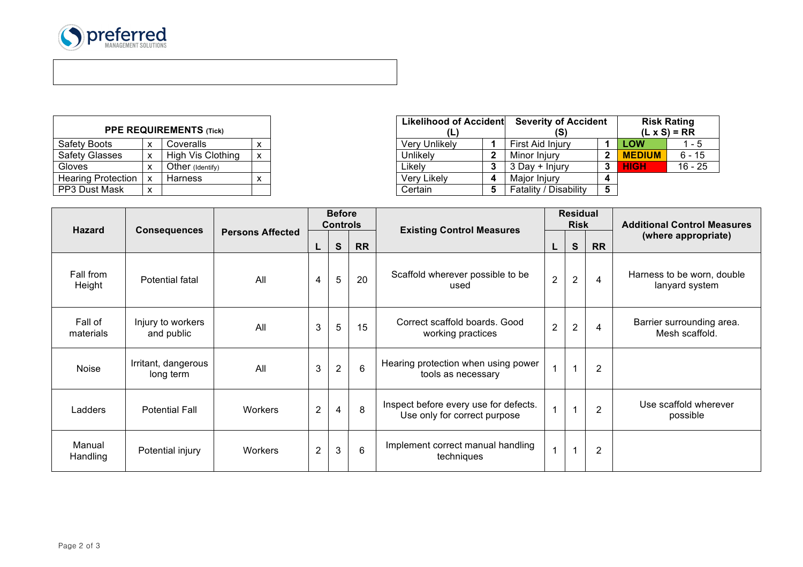

i<br>I

| <b>PPE REQUIREMENTS (Tick)</b> |   |                   |   |  |  |  |  |  |  |
|--------------------------------|---|-------------------|---|--|--|--|--|--|--|
| <b>Safety Boots</b>            | x | Coveralls         | x |  |  |  |  |  |  |
| <b>Safety Glasses</b>          | х | High Vis Clothing | x |  |  |  |  |  |  |
| Gloves                         | x | Other (Identify)  |   |  |  |  |  |  |  |
| <b>Hearing Protection</b>      | x | Harness           | x |  |  |  |  |  |  |
| PP3 Dust Mask                  | x |                   |   |  |  |  |  |  |  |

|                    |                           |                                |  | Likelihood of Accident | <b>Severity of Accident</b> |   | <b>Risk Rating</b>  |           |
|--------------------|---------------------------|--------------------------------|--|------------------------|-----------------------------|---|---------------------|-----------|
|                    |                           | <b>PPE REQUIREMENTS (Tick)</b> |  | (L)                    |                             |   | $(L \times S) = RR$ |           |
| Safety Boots       | X                         | Coveralls                      |  | <b>Very Unlikely</b>   | First Aid Injury            |   | <b>LOW</b>          | 1 - 5     |
| Safety Glasses     | X                         | High Vis Clothing              |  | Unlikely               | Minor Iniury                |   | <b>MEDIUM</b>       | $6 - 15$  |
| Gloves             | ◠                         | Other (Identify)               |  | Likelv                 | 3 Day + Injury              |   | <b>HIGH</b>         | $16 - 25$ |
| Hearing Protection | $\boldsymbol{\mathsf{x}}$ | Harness                        |  | Very Likely            | Maior Iniury                |   |                     |           |
| PP3 Dust Mask      | X                         |                                |  | Certain                | Fatality / Disability       | 5 |                     |           |

|                      |                                  |                         |                | <b>Before</b><br><b>Controls</b> |                 |                                                                       |                      | <b>Residual</b><br><b>Risk</b> |                | <b>Additional Control Measures</b>           |  |
|----------------------|----------------------------------|-------------------------|----------------|----------------------------------|-----------------|-----------------------------------------------------------------------|----------------------|--------------------------------|----------------|----------------------------------------------|--|
| <b>Hazard</b>        | <b>Consequences</b>              | <b>Persons Affected</b> | L              | S                                | <b>RR</b>       | <b>Existing Control Measures</b>                                      | L                    | ${\bf S}$                      | <b>RR</b>      | (where appropriate)                          |  |
| Fall from<br>Height  | Potential fatal                  | All                     | 4              | 5                                | 20              | Scaffold wherever possible to be<br>used                              | $\overline{2}$       | $\overline{2}$                 | $\overline{4}$ | Harness to be worn, double<br>lanyard system |  |
| Fall of<br>materials | Injury to workers<br>and public  | All                     | 3              | 5                                | 15              | Correct scaffold boards, Good<br>working practices                    | $\overline{2}$       | $\overline{2}$                 | 4              | Barrier surrounding area.<br>Mesh scaffold.  |  |
| Noise                | Irritant, dangerous<br>long term | All                     | 3              | $\overline{2}$                   | $6\phantom{1}6$ | Hearing protection when using power<br>tools as necessary             | $\blacktriangleleft$ |                                | $\overline{2}$ |                                              |  |
| Ladders              | <b>Potential Fall</b>            | Workers                 | $\overline{2}$ | $\overline{4}$                   | 8               | Inspect before every use for defects.<br>Use only for correct purpose | $\mathbf{1}$         |                                | $\overline{2}$ | Use scaffold wherever<br>possible            |  |
| Manual<br>Handling   | Potential injury                 | <b>Workers</b>          | 2              | 3                                | $6\phantom{1}$  | Implement correct manual handling<br>techniques                       | 1                    |                                | $\overline{2}$ |                                              |  |